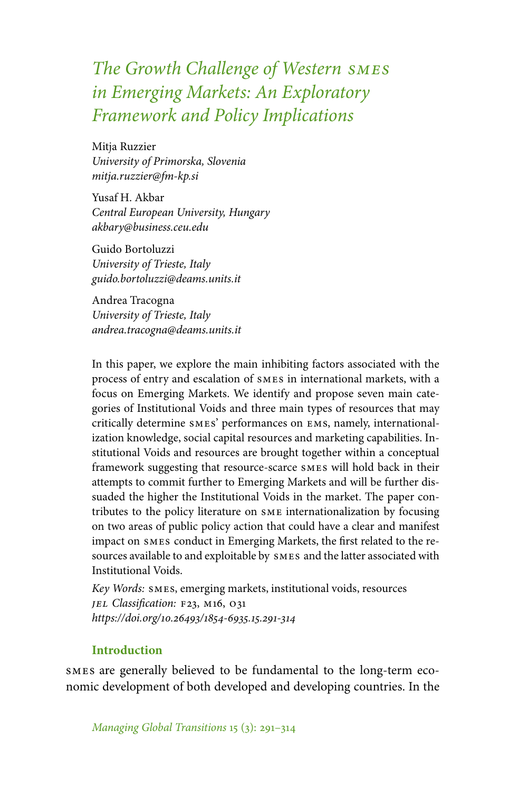# *The Growth Challenge of Western smes in Emerging Markets: An Exploratory Framework and Policy Implications*

Mitja Ruzzier *University of Primorska, Slovenia mitja.ruzzier@fm-kp.si*

Yusaf H. Akbar *Central European University, Hungary akbary@business.ceu.edu*

Guido Bortoluzzi *University of Trieste, Italy guido.bortoluzzi@deams.units.it*

Andrea Tracogna *University of Trieste, Italy andrea.tracogna@deams.units.it*

In this paper, we explore the main inhibiting factors associated with the process of entry and escalation of smes in international markets, with a focus on Emerging Markets. We identify and propose seven main categories of Institutional Voids and three main types of resources that may critically determine smes' performances on ems, namely, internationalization knowledge, social capital resources and marketing capabilities. Institutional Voids and resources are brought together within a conceptual framework suggesting that resource-scarce smes will hold back in their attempts to commit further to Emerging Markets and will be further dissuaded the higher the Institutional Voids in the market. The paper contributes to the policy literature on sme internationalization by focusing on two areas of public policy action that could have a clear and manifest impact on smes conduct in Emerging Markets, the first related to the resources available to and exploitable by smes and the latter associated with Institutional Voids.

*Key Words:* smes, emerging markets, institutional voids, resources *jel Classification:* f23, m16, o31 *https://doi.org/10.26493/1854-6935.15.291-314*

### **Introduction**

smes are generally believed to be fundamental to the long-term economic development of both developed and developing countries. In the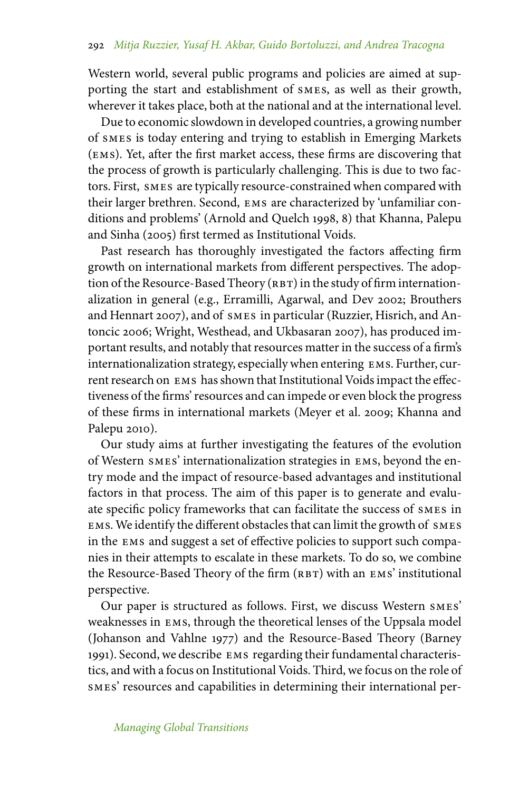Western world, several public programs and policies are aimed at supporting the start and establishment of smes, as well as their growth, wherever it takes place, both at the national and at the international level.

Due to economic slowdown in developed countries, a growing number of smes is today entering and trying to establish in Emerging Markets (ems). Yet, after the first market access, these firms are discovering that the process of growth is particularly challenging. This is due to two factors. First, smes are typically resource-constrained when compared with their larger brethren. Second, ems are characterized by 'unfamiliar conditions and problems' (Arnold and Quelch 1998, 8) that Khanna, Palepu and Sinha (2005) first termed as Institutional Voids.

Past research has thoroughly investigated the factors affecting firm growth on international markets from different perspectives. The adoption of the Resource-Based Theory (RBT) in the study of firm internationalization in general (e.g., Erramilli, Agarwal, and Dev 2002; Brouthers and Hennart 2007), and of smes in particular (Ruzzier, Hisrich, and Antoncic 2006; Wright, Westhead, and Ukbasaran 2007), has produced important results, and notably that resources matter in the success of a firm's internationalization strategy, especially when entering ems. Further, current research on ems has shown that Institutional Voids impact the effectiveness of the firms' resources and can impede or even block the progress of these firms in international markets (Meyer et al. 2009; Khanna and Palepu 2010).

Our study aims at further investigating the features of the evolution of Western smes' internationalization strategies in ems, beyond the entry mode and the impact of resource-based advantages and institutional factors in that process. The aim of this paper is to generate and evaluate specific policy frameworks that can facilitate the success of smes in ems. We identify the different obstacles that can limit the growth of smes in the ems and suggest a set of effective policies to support such companies in their attempts to escalate in these markets. To do so, we combine the Resource-Based Theory of the firm (RBT) with an EMS' institutional perspective.

Our paper is structured as follows. First, we discuss Western smes' weaknesses in ems, through the theoretical lenses of the Uppsala model (Johanson and Vahlne 1977) and the Resource-Based Theory (Barney 1991). Second, we describe ems regarding their fundamental characteristics, and with a focus on Institutional Voids. Third, we focus on the role of smes' resources and capabilities in determining their international per-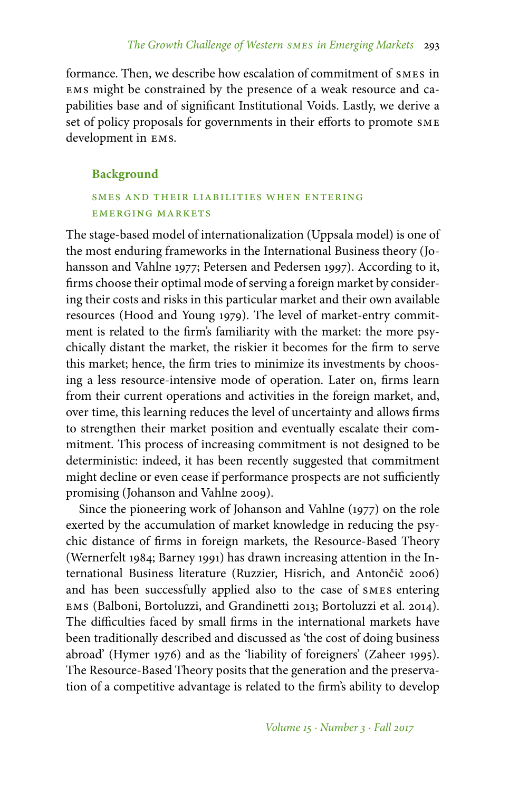formance. Then, we describe how escalation of commitment of smes in ems might be constrained by the presence of a weak resource and capabilities base and of significant Institutional Voids. Lastly, we derive a set of policy proposals for governments in their efforts to promote sme development in ems.

### **Background**

### smes and their liabilities when entering emerging markets

The stage-based model of internationalization (Uppsala model) is one of the most enduring frameworks in the International Business theory (Johansson and Vahlne 1977; Petersen and Pedersen 1997). According to it, firms choose their optimal mode of serving a foreign market by considering their costs and risks in this particular market and their own available resources (Hood and Young 1979). The level of market-entry commitment is related to the firm's familiarity with the market: the more psychically distant the market, the riskier it becomes for the firm to serve this market; hence, the firm tries to minimize its investments by choosing a less resource-intensive mode of operation. Later on, firms learn from their current operations and activities in the foreign market, and, over time, this learning reduces the level of uncertainty and allows firms to strengthen their market position and eventually escalate their commitment. This process of increasing commitment is not designed to be deterministic: indeed, it has been recently suggested that commitment might decline or even cease if performance prospects are not sufficiently promising (Johanson and Vahlne 2009).

Since the pioneering work of Johanson and Vahlne (1977) on the role exerted by the accumulation of market knowledge in reducing the psychic distance of firms in foreign markets, the Resource-Based Theory (Wernerfelt 1984; Barney 1991) has drawn increasing attention in the International Business literature (Ruzzier, Hisrich, and Antončič 2006) and has been successfully applied also to the case of smes entering ems (Balboni, Bortoluzzi, and Grandinetti 2013; Bortoluzzi et al. 2014). The difficulties faced by small firms in the international markets have been traditionally described and discussed as 'the cost of doing business abroad' (Hymer 1976) and as the 'liability of foreigners' (Zaheer 1995). The Resource-Based Theory posits that the generation and the preservation of a competitive advantage is related to the firm's ability to develop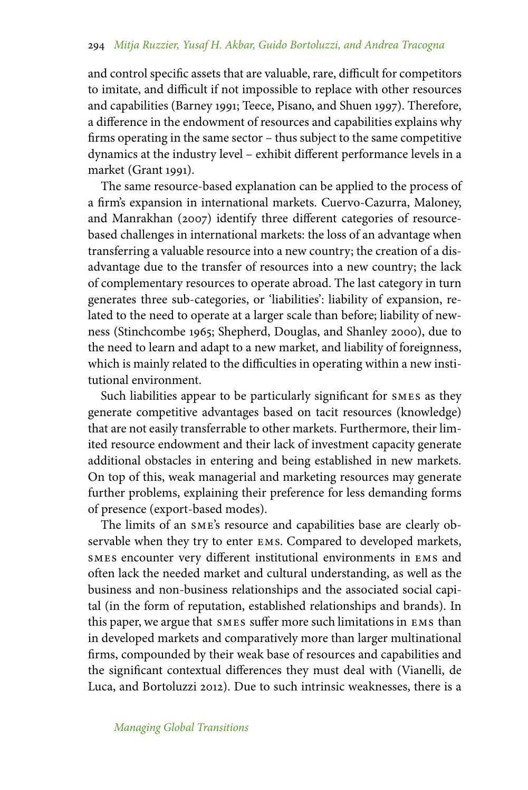and control specific assets that are valuable, rare, difficult for competitors to imitate, and difficult if not impossible to replace with other resources and capabilities (Barney 1991; Teece, Pisano, and Shuen 1997). Therefore, a difference in the endowment of resources and capabilities explains why firms operating in the same sector – thus subject to the same competitive dynamics at the industry level – exhibit different performance levels in a market (Grant 1991).

The same resource-based explanation can be applied to the process of a firm's expansion in international markets. Cuervo-Cazurra, Maloney, and Manrakhan (2007) identify three different categories of resourcebased challenges in international markets: the loss of an advantage when transferring a valuable resource into a new country; the creation of a disadvantage due to the transfer of resources into a new country; the lack of complementary resources to operate abroad. The last category in turn generates three sub-categories, or 'liabilities': liability of expansion, related to the need to operate at a larger scale than before; liability of newness (Stinchcombe 1965; Shepherd, Douglas, and Shanley 2000), due to the need to learn and adapt to a new market, and liability of foreignness, which is mainly related to the difficulties in operating within a new institutional environment.

Such liabilities appear to be particularly significant for smes as they generate competitive advantages based on tacit resources (knowledge) that are not easily transferrable to other markets. Furthermore, their limited resource endowment and their lack of investment capacity generate additional obstacles in entering and being established in new markets. On top of this, weak managerial and marketing resources may generate further problems, explaining their preference for less demanding forms of presence (export-based modes).

The limits of an sme's resource and capabilities base are clearly observable when they try to enter ems. Compared to developed markets, smes encounter very different institutional environments in ems and often lack the needed market and cultural understanding, as well as the business and non-business relationships and the associated social capital (in the form of reputation, established relationships and brands). In this paper, we argue that smes suffer more such limitations in ems than in developed markets and comparatively more than larger multinational firms, compounded by their weak base of resources and capabilities and the significant contextual differences they must deal with (Vianelli, de Luca, and Bortoluzzi 2012). Due to such intrinsic weaknesses, there is a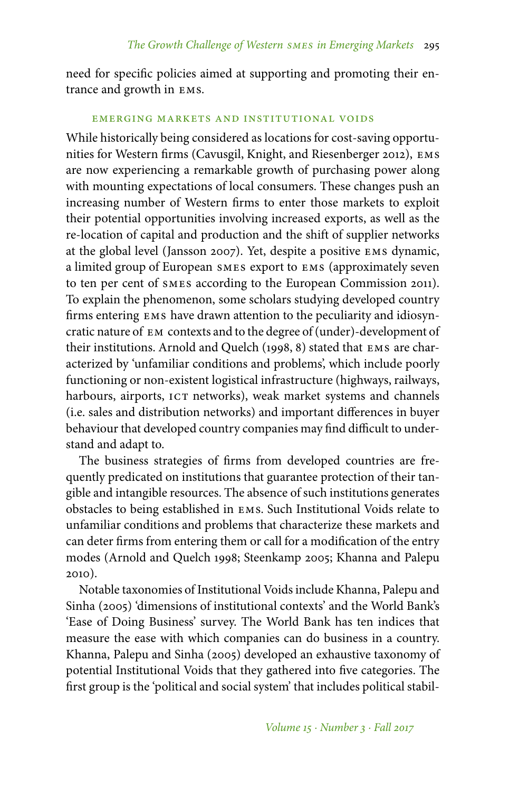need for specific policies aimed at supporting and promoting their entrance and growth in ems.

### emerging markets and institutional voids

While historically being considered as locations for cost-saving opportunities for Western firms (Cavusgil, Knight, and Riesenberger 2012), ems are now experiencing a remarkable growth of purchasing power along with mounting expectations of local consumers. These changes push an increasing number of Western firms to enter those markets to exploit their potential opportunities involving increased exports, as well as the re-location of capital and production and the shift of supplier networks at the global level (Jansson 2007). Yet, despite a positive ems dynamic, a limited group of European smes export to ems (approximately seven to ten per cent of smes according to the European Commission 2011). To explain the phenomenon, some scholars studying developed country firms entering ems have drawn attention to the peculiarity and idiosyncratic nature of em contexts and to the degree of (under)-development of their institutions. Arnold and Quelch (1998, 8) stated that ems are characterized by 'unfamiliar conditions and problems', which include poorly functioning or non-existent logistical infrastructure (highways, railways, harbours, airports, ICT networks), weak market systems and channels (i.e. sales and distribution networks) and important differences in buyer behaviour that developed country companies may find difficult to understand and adapt to.

The business strategies of firms from developed countries are frequently predicated on institutions that guarantee protection of their tangible and intangible resources. The absence of such institutions generates obstacles to being established in ems. Such Institutional Voids relate to unfamiliar conditions and problems that characterize these markets and can deter firms from entering them or call for a modification of the entry modes (Arnold and Quelch 1998; Steenkamp 2005; Khanna and Palepu 2010).

Notable taxonomies of Institutional Voids include Khanna, Palepu and Sinha (2005) 'dimensions of institutional contexts' and the World Bank's 'Ease of Doing Business' survey. The World Bank has ten indices that measure the ease with which companies can do business in a country. Khanna, Palepu and Sinha (2005) developed an exhaustive taxonomy of potential Institutional Voids that they gathered into five categories. The first group is the 'political and social system' that includes political stabil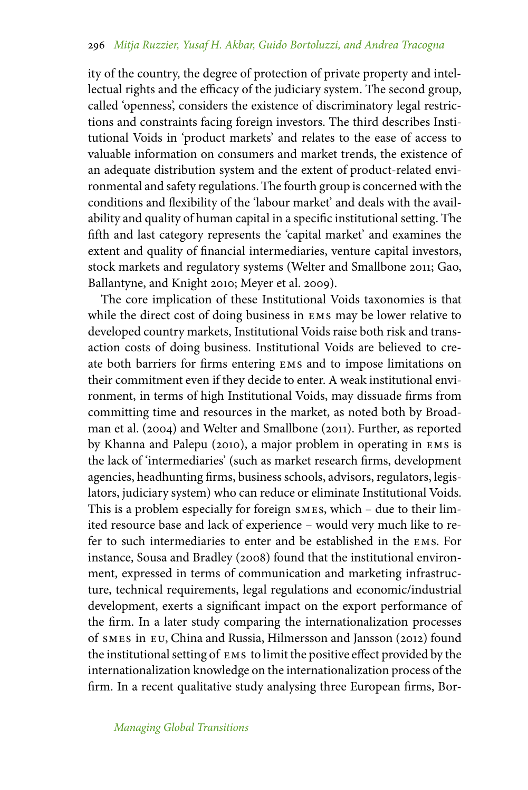ity of the country, the degree of protection of private property and intellectual rights and the efficacy of the judiciary system. The second group, called 'openness', considers the existence of discriminatory legal restrictions and constraints facing foreign investors. The third describes Institutional Voids in 'product markets' and relates to the ease of access to valuable information on consumers and market trends, the existence of an adequate distribution system and the extent of product-related environmental and safety regulations. The fourth group is concerned with the conditions and flexibility of the 'labour market' and deals with the availability and quality of human capital in a specific institutional setting. The fifth and last category represents the 'capital market' and examines the extent and quality of financial intermediaries, venture capital investors, stock markets and regulatory systems (Welter and Smallbone 2011; Gao, Ballantyne, and Knight 2010; Meyer et al. 2009).

The core implication of these Institutional Voids taxonomies is that while the direct cost of doing business in ems may be lower relative to developed country markets, Institutional Voids raise both risk and transaction costs of doing business. Institutional Voids are believed to create both barriers for firms entering ems and to impose limitations on their commitment even if they decide to enter. A weak institutional environment, in terms of high Institutional Voids, may dissuade firms from committing time and resources in the market, as noted both by Broadman et al. (2004) and Welter and Smallbone (2011). Further, as reported by Khanna and Palepu (2010), a major problem in operating in ems is the lack of 'intermediaries' (such as market research firms, development agencies, headhunting firms, business schools, advisors, regulators, legislators, judiciary system) who can reduce or eliminate Institutional Voids. This is a problem especially for foreign smes, which – due to their limited resource base and lack of experience – would very much like to refer to such intermediaries to enter and be established in the ems. For instance, Sousa and Bradley (2008) found that the institutional environment, expressed in terms of communication and marketing infrastructure, technical requirements, legal regulations and economic/industrial development, exerts a significant impact on the export performance of the firm. In a later study comparing the internationalization processes of smes in eu, China and Russia, Hilmersson and Jansson (2012) found the institutional setting of ems to limit the positive effect provided by the internationalization knowledge on the internationalization process of the firm. In a recent qualitative study analysing three European firms, Bor-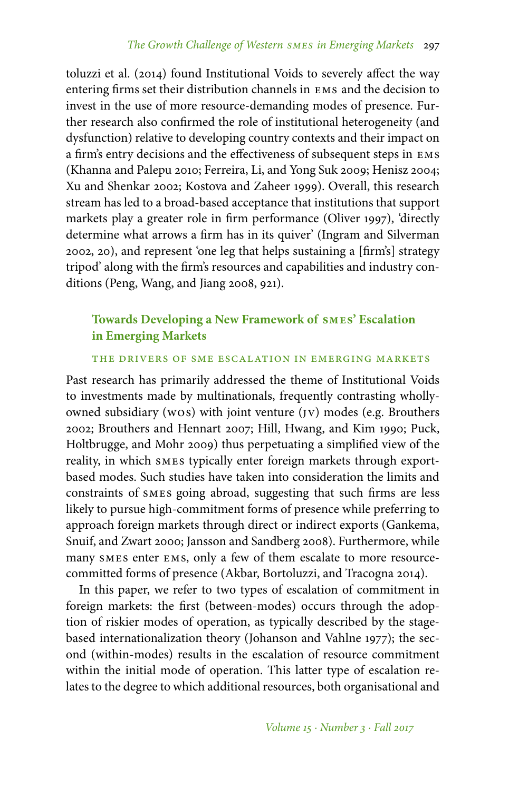toluzzi et al. (2014) found Institutional Voids to severely affect the way entering firms set their distribution channels in ems and the decision to invest in the use of more resource-demanding modes of presence. Further research also confirmed the role of institutional heterogeneity (and dysfunction) relative to developing country contexts and their impact on a firm's entry decisions and the effectiveness of subsequent steps in ems (Khanna and Palepu 2010; Ferreira, Li, and Yong Suk 2009; Henisz 2004; Xu and Shenkar 2002; Kostova and Zaheer 1999). Overall, this research stream has led to a broad-based acceptance that institutions that support markets play a greater role in firm performance (Oliver 1997), 'directly determine what arrows a firm has in its quiver' (Ingram and Silverman 2002, 20), and represent 'one leg that helps sustaining a [firm's] strategy tripod' along with the firm's resources and capabilities and industry conditions (Peng, Wang, and Jiang 2008, 921).

# **Towards Developing a New Framework of smes' Escalation in Emerging Markets**

### the drivers of sme escalation in emerging markets

Past research has primarily addressed the theme of Institutional Voids to investments made by multinationals, frequently contrasting whollyowned subsidiary (wos) with joint venture (jv) modes (e.g. Brouthers 2002; Brouthers and Hennart 2007; Hill, Hwang, and Kim 1990; Puck, Holtbrugge, and Mohr 2009) thus perpetuating a simplified view of the reality, in which smes typically enter foreign markets through exportbased modes. Such studies have taken into consideration the limits and constraints of smes going abroad, suggesting that such firms are less likely to pursue high-commitment forms of presence while preferring to approach foreign markets through direct or indirect exports (Gankema, Snuif, and Zwart 2000; Jansson and Sandberg 2008). Furthermore, while many smes enter ems, only a few of them escalate to more resourcecommitted forms of presence (Akbar, Bortoluzzi, and Tracogna 2014).

In this paper, we refer to two types of escalation of commitment in foreign markets: the first (between-modes) occurs through the adoption of riskier modes of operation, as typically described by the stagebased internationalization theory (Johanson and Vahlne 1977); the second (within-modes) results in the escalation of resource commitment within the initial mode of operation. This latter type of escalation relates to the degree to which additional resources, both organisational and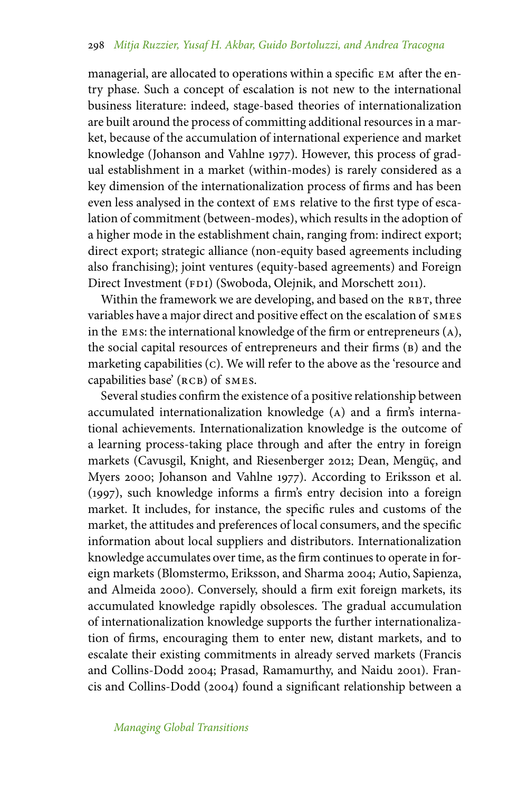managerial, are allocated to operations within a specific em after the entry phase. Such a concept of escalation is not new to the international business literature: indeed, stage-based theories of internationalization are built around the process of committing additional resources in a market, because of the accumulation of international experience and market knowledge (Johanson and Vahlne 1977). However, this process of gradual establishment in a market (within-modes) is rarely considered as a key dimension of the internationalization process of firms and has been even less analysed in the context of ems relative to the first type of escalation of commitment (between-modes), which results in the adoption of a higher mode in the establishment chain, ranging from: indirect export; direct export; strategic alliance (non-equity based agreements including also franchising); joint ventures (equity-based agreements) and Foreign Direct Investment (FDI) (Swoboda, Olejnik, and Morschett 2011).

Within the framework we are developing, and based on the RBT, three variables have a major direct and positive effect on the escalation of smes in the ems: the international knowledge of the firm or entrepreneurs (a), the social capital resources of entrepreneurs and their firms (B) and the marketing capabilities (c). We will refer to the above as the 'resource and capabilities base' (RCB) of SMES.

Several studies confirm the existence of a positive relationship between accumulated internationalization knowledge (a) and a firm's international achievements. Internationalization knowledge is the outcome of a learning process-taking place through and after the entry in foreign markets (Cavusgil, Knight, and Riesenberger 2012; Dean, Mengüç, and Myers 2000; Johanson and Vahlne 1977). According to Eriksson et al. (1997), such knowledge informs a firm's entry decision into a foreign market. It includes, for instance, the specific rules and customs of the market, the attitudes and preferences of local consumers, and the specific information about local suppliers and distributors. Internationalization knowledge accumulates over time, as the firm continues to operate in foreign markets (Blomstermo, Eriksson, and Sharma 2004; Autio, Sapienza, and Almeida 2000). Conversely, should a firm exit foreign markets, its accumulated knowledge rapidly obsolesces. The gradual accumulation of internationalization knowledge supports the further internationalization of firms, encouraging them to enter new, distant markets, and to escalate their existing commitments in already served markets (Francis and Collins-Dodd 2004; Prasad, Ramamurthy, and Naidu 2001). Francis and Collins-Dodd (2004) found a significant relationship between a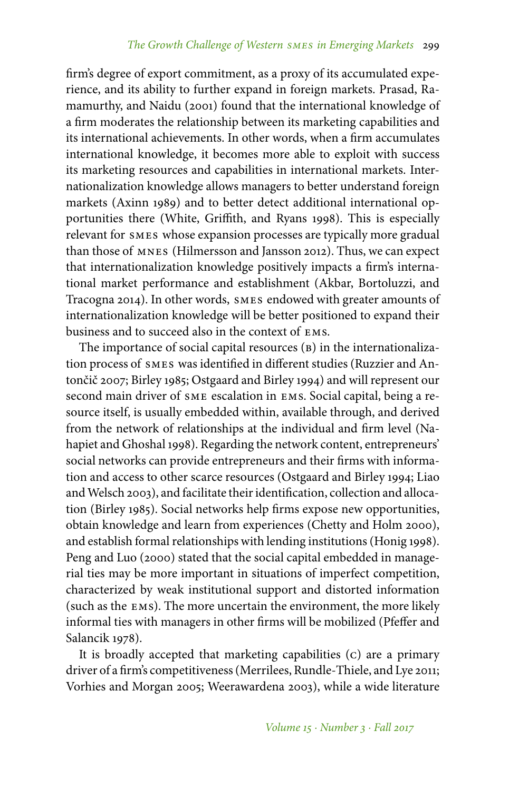firm's degree of export commitment, as a proxy of its accumulated experience, and its ability to further expand in foreign markets. Prasad, Ramamurthy, and Naidu (2001) found that the international knowledge of a firm moderates the relationship between its marketing capabilities and its international achievements. In other words, when a firm accumulates international knowledge, it becomes more able to exploit with success its marketing resources and capabilities in international markets. Internationalization knowledge allows managers to better understand foreign markets (Axinn 1989) and to better detect additional international opportunities there (White, Griffith, and Ryans 1998). This is especially relevant for smes whose expansion processes are typically more gradual than those of mnes (Hilmersson and Jansson 2012). Thus, we can expect that internationalization knowledge positively impacts a firm's international market performance and establishment (Akbar, Bortoluzzi, and Tracogna 2014). In other words, smes endowed with greater amounts of internationalization knowledge will be better positioned to expand their business and to succeed also in the context of ems.

The importance of social capital resources (B) in the internationalization process of smes was identified in different studies (Ruzzier and Antončič 2007; Birley 1985; Ostgaard and Birley 1994) and will represent our second main driver of sme escalation in ems. Social capital, being a resource itself, is usually embedded within, available through, and derived from the network of relationships at the individual and firm level (Nahapiet and Ghoshal 1998). Regarding the network content, entrepreneurs' social networks can provide entrepreneurs and their firms with information and access to other scarce resources (Ostgaard and Birley 1994; Liao and Welsch 2003), and facilitate their identification, collection and allocation (Birley 1985). Social networks help firms expose new opportunities, obtain knowledge and learn from experiences (Chetty and Holm 2000), and establish formal relationships with lending institutions (Honig 1998). Peng and Luo (2000) stated that the social capital embedded in managerial ties may be more important in situations of imperfect competition, characterized by weak institutional support and distorted information (such as the ems). The more uncertain the environment, the more likely informal ties with managers in other firms will be mobilized (Pfeffer and Salancik 1978).

It is broadly accepted that marketing capabilities (c) are a primary driver of a firm's competitiveness (Merrilees, Rundle-Thiele, and Lye 2011; Vorhies and Morgan 2005; Weerawardena 2003), while a wide literature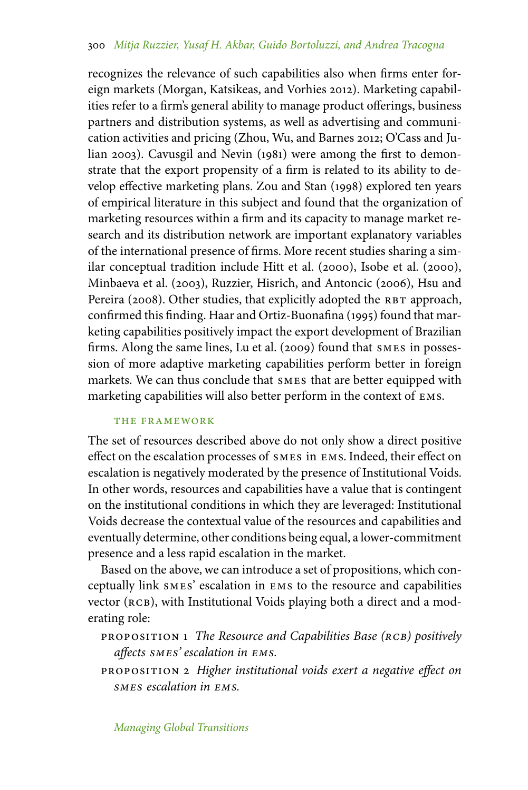recognizes the relevance of such capabilities also when firms enter foreign markets (Morgan, Katsikeas, and Vorhies 2012). Marketing capabilities refer to a firm's general ability to manage product offerings, business partners and distribution systems, as well as advertising and communication activities and pricing (Zhou, Wu, and Barnes 2012; O'Cass and Julian 2003). Cavusgil and Nevin (1981) were among the first to demonstrate that the export propensity of a firm is related to its ability to develop effective marketing plans. Zou and Stan (1998) explored ten years of empirical literature in this subject and found that the organization of marketing resources within a firm and its capacity to manage market research and its distribution network are important explanatory variables of the international presence of firms. More recent studies sharing a similar conceptual tradition include Hitt et al. (2000), Isobe et al. (2000), Minbaeva et al. (2003), Ruzzier, Hisrich, and Antoncic (2006), Hsu and Pereira (2008). Other studies, that explicitly adopted the RBT approach, confirmed this finding. Haar and Ortiz-Buonafina (1995) found that marketing capabilities positively impact the export development of Brazilian firms. Along the same lines, Lu et al. (2009) found that smes in possession of more adaptive marketing capabilities perform better in foreign markets. We can thus conclude that smes that are better equipped with marketing capabilities will also better perform in the context of ems.

### the framework

The set of resources described above do not only show a direct positive effect on the escalation processes of smes in ems. Indeed, their effect on escalation is negatively moderated by the presence of Institutional Voids. In other words, resources and capabilities have a value that is contingent on the institutional conditions in which they are leveraged: Institutional Voids decrease the contextual value of the resources and capabilities and eventually determine, other conditions being equal, a lower-commitment presence and a less rapid escalation in the market.

Based on the above, we can introduce a set of propositions, which conceptually link smes' escalation in ems to the resource and capabilities vector (RCB), with Institutional Voids playing both a direct and a moderating role:

proposition 1 *The Resource and Capabilities Base (rcb) positively affects smes' escalation in ems.*

proposition 2 *Higher institutional voids exert a negative effect on smes escalation in ems.*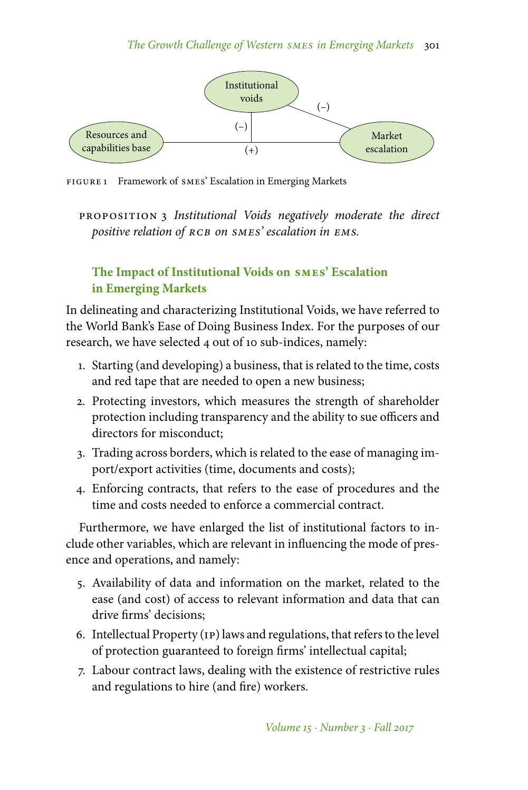

FIGURE 1 Framework of SMES' Escalation in Emerging Markets

proposition 3 *Institutional Voids negatively moderate the direct positive relation of rcb on smes' escalation in ems.*

# **The Impact of Institutional Voids on smes' Escalation in Emerging Markets**

In delineating and characterizing Institutional Voids, we have referred to the World Bank's Ease of Doing Business Index. For the purposes of our research, we have selected 4 out of 10 sub-indices, namely:

- 1. Starting (and developing) a business, that is related to the time, costs and red tape that are needed to open a new business;
- 2. Protecting investors, which measures the strength of shareholder protection including transparency and the ability to sue officers and directors for misconduct;
- 3. Trading across borders, which is related to the ease of managing import/export activities (time, documents and costs);
- 4. Enforcing contracts, that refers to the ease of procedures and the time and costs needed to enforce a commercial contract.

Furthermore, we have enlarged the list of institutional factors to include other variables, which are relevant in influencing the mode of presence and operations, and namely:

- 5. Availability of data and information on the market, related to the ease (and cost) of access to relevant information and data that can drive firms' decisions;
- 6. Intellectual Property (ip) laws and regulations, that refers to the level of protection guaranteed to foreign firms' intellectual capital;
- 7. Labour contract laws, dealing with the existence of restrictive rules and regulations to hire (and fire) workers.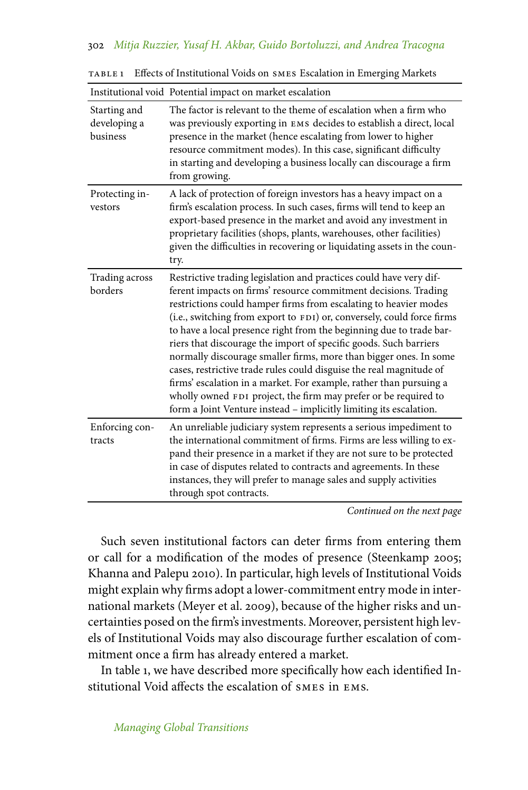|                                          | Institutional void Potential impact on market escalation                                                                                                                                                                                                                                                                                                                                                                                                                                                                                                                                                                                                                                                                                                                                   |
|------------------------------------------|--------------------------------------------------------------------------------------------------------------------------------------------------------------------------------------------------------------------------------------------------------------------------------------------------------------------------------------------------------------------------------------------------------------------------------------------------------------------------------------------------------------------------------------------------------------------------------------------------------------------------------------------------------------------------------------------------------------------------------------------------------------------------------------------|
| Starting and<br>developing a<br>business | The factor is relevant to the theme of escalation when a firm who<br>was previously exporting in EMS decides to establish a direct, local<br>presence in the market (hence escalating from lower to higher<br>resource commitment modes). In this case, significant difficulty<br>in starting and developing a business locally can discourage a firm<br>from growing.                                                                                                                                                                                                                                                                                                                                                                                                                     |
| Protecting in-<br>vestors                | A lack of protection of foreign investors has a heavy impact on a<br>firm's escalation process. In such cases, firms will tend to keep an<br>export-based presence in the market and avoid any investment in<br>proprietary facilities (shops, plants, warehouses, other facilities)<br>given the difficulties in recovering or liquidating assets in the coun-<br>try.                                                                                                                                                                                                                                                                                                                                                                                                                    |
| Trading across<br>borders                | Restrictive trading legislation and practices could have very dif-<br>ferent impacts on firms' resource commitment decisions. Trading<br>restrictions could hamper firms from escalating to heavier modes<br>(i.e., switching from export to FDI) or, conversely, could force firms<br>to have a local presence right from the beginning due to trade bar-<br>riers that discourage the import of specific goods. Such barriers<br>normally discourage smaller firms, more than bigger ones. In some<br>cases, restrictive trade rules could disguise the real magnitude of<br>firms' escalation in a market. For example, rather than pursuing a<br>wholly owned FDI project, the firm may prefer or be required to<br>form a Joint Venture instead - implicitly limiting its escalation. |
| Enforcing con-<br>tracts                 | An unreliable judiciary system represents a serious impediment to<br>the international commitment of firms. Firms are less willing to ex-<br>pand their presence in a market if they are not sure to be protected<br>in case of disputes related to contracts and agreements. In these<br>instances, they will prefer to manage sales and supply activities<br>through spot contracts.                                                                                                                                                                                                                                                                                                                                                                                                     |

table 1 Effects of Institutional Voids on smes Escalation in Emerging Markets

*Continued on the next page*

Such seven institutional factors can deter firms from entering them or call for a modification of the modes of presence (Steenkamp 2005; Khanna and Palepu 2010). In particular, high levels of Institutional Voids might explain why firms adopt a lower-commitment entry mode in international markets (Meyer et al. 2009), because of the higher risks and uncertainties posed on the firm's investments. Moreover, persistent high levels of Institutional Voids may also discourage further escalation of commitment once a firm has already entered a market.

In table 1, we have described more specifically how each identified Institutional Void affects the escalation of smes in ems.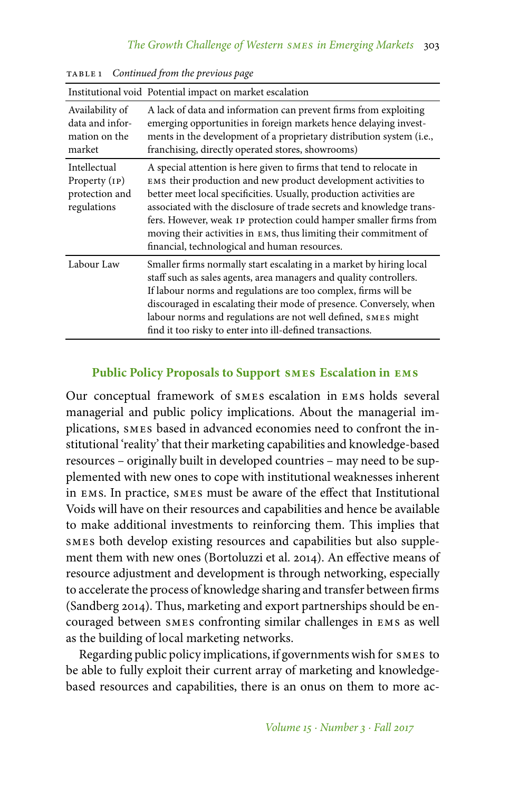|                                                                | Institutional void Potential impact on market escalation                                                                                                                                                                                                                                                                                                                                                                                                                        |
|----------------------------------------------------------------|---------------------------------------------------------------------------------------------------------------------------------------------------------------------------------------------------------------------------------------------------------------------------------------------------------------------------------------------------------------------------------------------------------------------------------------------------------------------------------|
| Availability of<br>data and infor-<br>mation on the<br>market  | A lack of data and information can prevent firms from exploiting<br>emerging opportunities in foreign markets hence delaying invest-<br>ments in the development of a proprietary distribution system (i.e.,<br>franchising, directly operated stores, showrooms)                                                                                                                                                                                                               |
| Intellectual<br>Property (IP)<br>protection and<br>regulations | A special attention is here given to firms that tend to relocate in<br>EMS their production and new product development activities to<br>better meet local specificities. Usually, production activities are<br>associated with the disclosure of trade secrets and knowledge trans-<br>fers. However, weak 1P protection could hamper smaller firms from<br>moving their activities in EMS, thus limiting their commitment of<br>financial, technological and human resources. |
| Labour Law                                                     | Smaller firms normally start escalating in a market by hiring local<br>staff such as sales agents, area managers and quality controllers.<br>If labour norms and regulations are too complex, firms will be<br>discouraged in escalating their mode of presence. Conversely, when<br>labour norms and regulations are not well defined, SMES might<br>find it too risky to enter into ill-defined transactions.                                                                 |

table 1 *Continued from the previous page*

# **Public Policy Proposals to Support smes Escalation in ems**

Our conceptual framework of smes escalation in ems holds several managerial and public policy implications. About the managerial implications, smes based in advanced economies need to confront the institutional 'reality' that their marketing capabilities and knowledge-based resources – originally built in developed countries – may need to be supplemented with new ones to cope with institutional weaknesses inherent in ems. In practice, smes must be aware of the effect that Institutional Voids will have on their resources and capabilities and hence be available to make additional investments to reinforcing them. This implies that smes both develop existing resources and capabilities but also supplement them with new ones (Bortoluzzi et al. 2014). An effective means of resource adjustment and development is through networking, especially to accelerate the process of knowledge sharing and transfer between firms (Sandberg 2014). Thus, marketing and export partnerships should be encouraged between smes confronting similar challenges in ems as well as the building of local marketing networks.

Regarding public policy implications, if governments wish for smes to be able to fully exploit their current array of marketing and knowledgebased resources and capabilities, there is an onus on them to more ac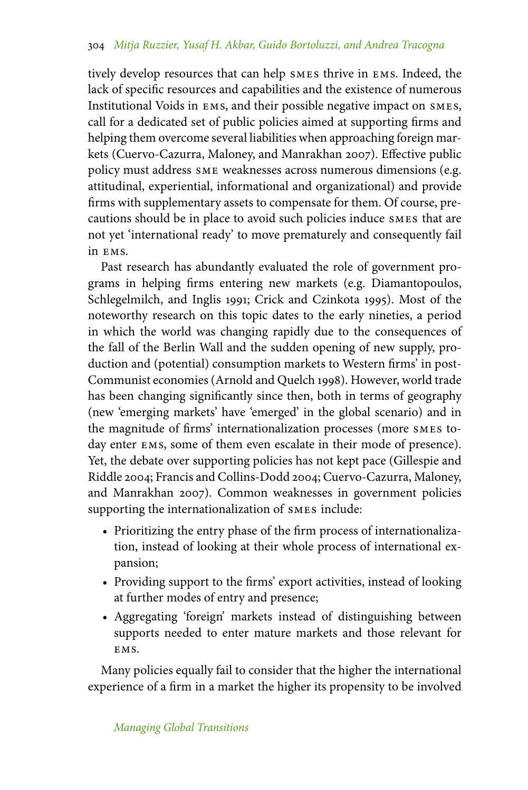tively develop resources that can help smes thrive in ems. Indeed, the lack of specific resources and capabilities and the existence of numerous Institutional Voids in ems, and their possible negative impact on smes, call for a dedicated set of public policies aimed at supporting firms and helping them overcome several liabilities when approaching foreign markets (Cuervo-Cazurra, Maloney, and Manrakhan 2007). Effective public policy must address sme weaknesses across numerous dimensions (e.g. attitudinal, experiential, informational and organizational) and provide firms with supplementary assets to compensate for them. Of course, precautions should be in place to avoid such policies induce smes that are not yet 'international ready' to move prematurely and consequently fail in ems.

Past research has abundantly evaluated the role of government programs in helping firms entering new markets (e.g. Diamantopoulos, Schlegelmilch, and Inglis 1991; Crick and Czinkota 1995). Most of the noteworthy research on this topic dates to the early nineties, a period in which the world was changing rapidly due to the consequences of the fall of the Berlin Wall and the sudden opening of new supply, production and (potential) consumption markets to Western firms' in post-Communist economies (Arnold and Quelch 1998). However, world trade has been changing significantly since then, both in terms of geography (new 'emerging markets' have 'emerged' in the global scenario) and in the magnitude of firms' internationalization processes (more smes today enter ems, some of them even escalate in their mode of presence). Yet, the debate over supporting policies has not kept pace (Gillespie and Riddle 2004; Francis and Collins-Dodd 2004; Cuervo-Cazurra, Maloney, and Manrakhan 2007). Common weaknesses in government policies supporting the internationalization of smes include:

- Prioritizing the entry phase of the firm process of internationalization, instead of looking at their whole process of international expansion;
- Providing support to the firms' export activities, instead of looking at further modes of entry and presence;
- Aggregating 'foreign' markets instead of distinguishing between supports needed to enter mature markets and those relevant for EMS.

Many policies equally fail to consider that the higher the international experience of a firm in a market the higher its propensity to be involved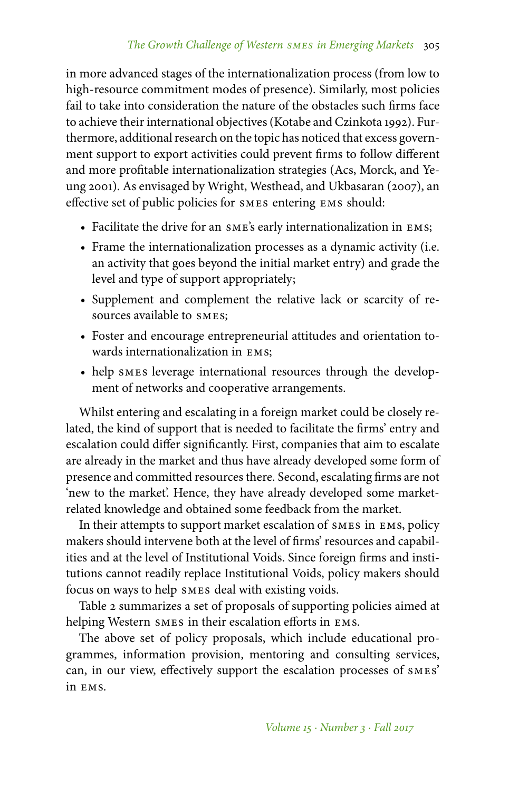in more advanced stages of the internationalization process (from low to high-resource commitment modes of presence). Similarly, most policies fail to take into consideration the nature of the obstacles such firms face to achieve their international objectives (Kotabe and Czinkota 1992). Furthermore, additional research on the topic has noticed that excess government support to export activities could prevent firms to follow different and more profitable internationalization strategies (Acs, Morck, and Yeung 2001). As envisaged by Wright, Westhead, and Ukbasaran (2007), an effective set of public policies for smes entering ems should:

- Facilitate the drive for an sme's early internationalization in ems;
- Frame the internationalization processes as a dynamic activity (i.e. an activity that goes beyond the initial market entry) and grade the level and type of support appropriately;
- Supplement and complement the relative lack or scarcity of resources available to smes;
- Foster and encourage entrepreneurial attitudes and orientation towards internationalization in ems;
- help smes leverage international resources through the development of networks and cooperative arrangements.

Whilst entering and escalating in a foreign market could be closely related, the kind of support that is needed to facilitate the firms' entry and escalation could differ significantly. First, companies that aim to escalate are already in the market and thus have already developed some form of presence and committed resources there. Second, escalating firms are not 'new to the market'. Hence, they have already developed some marketrelated knowledge and obtained some feedback from the market.

In their attempts to support market escalation of smes in ems, policy makers should intervene both at the level of firms' resources and capabilities and at the level of Institutional Voids. Since foreign firms and institutions cannot readily replace Institutional Voids, policy makers should focus on ways to help smes deal with existing voids.

Table 2 summarizes a set of proposals of supporting policies aimed at helping Western smes in their escalation efforts in ems.

The above set of policy proposals, which include educational programmes, information provision, mentoring and consulting services, can, in our view, effectively support the escalation processes of smes' in ems.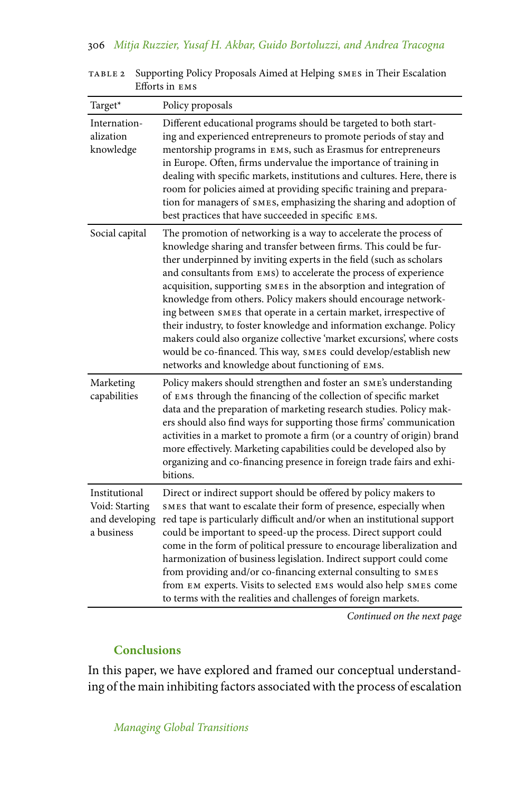| Target*                                                         | Policy proposals                                                                                                                                                                                                                                                                                                                                                                                                                                                                                                                                                                                                                                                                                                                                                         |
|-----------------------------------------------------------------|--------------------------------------------------------------------------------------------------------------------------------------------------------------------------------------------------------------------------------------------------------------------------------------------------------------------------------------------------------------------------------------------------------------------------------------------------------------------------------------------------------------------------------------------------------------------------------------------------------------------------------------------------------------------------------------------------------------------------------------------------------------------------|
| Internation-<br>alization<br>knowledge                          | Different educational programs should be targeted to both start-<br>ing and experienced entrepreneurs to promote periods of stay and<br>mentorship programs in EMS, such as Erasmus for entrepreneurs<br>in Europe. Often, firms undervalue the importance of training in<br>dealing with specific markets, institutions and cultures. Here, there is<br>room for policies aimed at providing specific training and prepara-<br>tion for managers of SMES, emphasizing the sharing and adoption of<br>best practices that have succeeded in specific EMS.                                                                                                                                                                                                                |
| Social capital                                                  | The promotion of networking is a way to accelerate the process of<br>knowledge sharing and transfer between firms. This could be fur-<br>ther underpinned by inviting experts in the field (such as scholars<br>and consultants from EMS) to accelerate the process of experience<br>acquisition, supporting SMES in the absorption and integration of<br>knowledge from others. Policy makers should encourage network-<br>ing between SMES that operate in a certain market, irrespective of<br>their industry, to foster knowledge and information exchange. Policy<br>makers could also organize collective 'market excursions', where costs<br>would be co-financed. This way, SMES could develop/establish new<br>networks and knowledge about functioning of EMS. |
| Marketing<br>capabilities                                       | Policy makers should strengthen and foster an SME's understanding<br>of EMS through the financing of the collection of specific market<br>data and the preparation of marketing research studies. Policy mak-<br>ers should also find ways for supporting those firms' communication<br>activities in a market to promote a firm (or a country of origin) brand<br>more effectively. Marketing capabilities could be developed also by<br>organizing and co-financing presence in foreign trade fairs and exhi-<br>bitions.                                                                                                                                                                                                                                              |
| Institutional<br>Void: Starting<br>and developing<br>a business | Direct or indirect support should be offered by policy makers to<br>SMES that want to escalate their form of presence, especially when<br>red tape is particularly difficult and/or when an institutional support<br>could be important to speed-up the process. Direct support could<br>come in the form of political pressure to encourage liberalization and<br>harmonization of business legislation. Indirect support could come<br>from providing and/or co-financing external consulting to SMES<br>from EM experts. Visits to selected EMS would also help SMES come<br>to terms with the realities and challenges of foreign markets.                                                                                                                           |

table 2 Supporting Policy Proposals Aimed at Helping smes in Their Escalation Efforts in ems

*Continued on the next page*

# **Conclusions**

In this paper, we have explored and framed our conceptual understanding of the main inhibiting factors associated with the process of escalation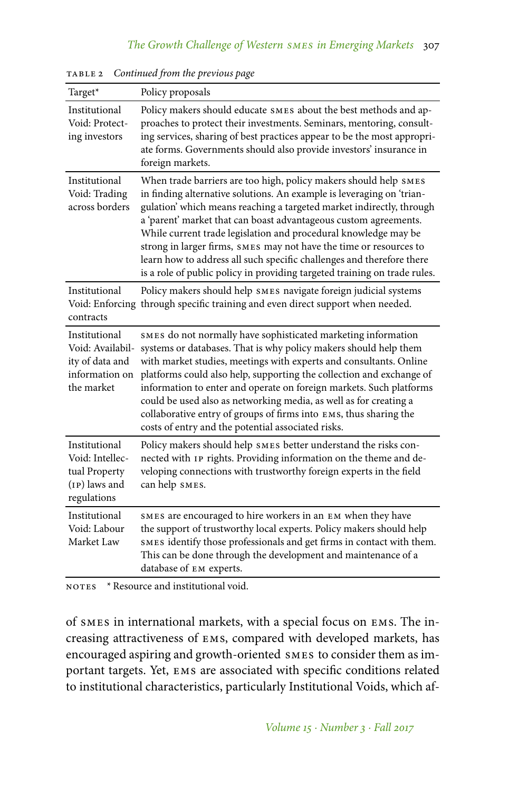| Target*                                                                              | Policy proposals                                                                                                                                                                                                                                                                                                                                                                                                                                                                                                                                                                     |
|--------------------------------------------------------------------------------------|--------------------------------------------------------------------------------------------------------------------------------------------------------------------------------------------------------------------------------------------------------------------------------------------------------------------------------------------------------------------------------------------------------------------------------------------------------------------------------------------------------------------------------------------------------------------------------------|
| Institutional<br>Void: Protect-<br>ing investors                                     | Policy makers should educate SMES about the best methods and ap-<br>proaches to protect their investments. Seminars, mentoring, consult-<br>ing services, sharing of best practices appear to be the most appropri-<br>ate forms. Governments should also provide investors' insurance in<br>foreign markets.                                                                                                                                                                                                                                                                        |
| Institutional<br>Void: Trading<br>across borders                                     | When trade barriers are too high, policy makers should help SMES<br>in finding alternative solutions. An example is leveraging on 'trian-<br>gulation' which means reaching a targeted market indirectly, through<br>a 'parent' market that can boast advantageous custom agreements.<br>While current trade legislation and procedural knowledge may be<br>strong in larger firms, SMES may not have the time or resources to<br>learn how to address all such specific challenges and therefore there<br>is a role of public policy in providing targeted training on trade rules. |
| Institutional<br>contracts                                                           | Policy makers should help SMES navigate foreign judicial systems<br>Void: Enforcing through specific training and even direct support when needed.                                                                                                                                                                                                                                                                                                                                                                                                                                   |
| Institutional<br>Void: Availabil-<br>ity of data and<br>information on<br>the market | SMES do not normally have sophisticated marketing information<br>systems or databases. That is why policy makers should help them<br>with market studies, meetings with experts and consultants. Online<br>platforms could also help, supporting the collection and exchange of<br>information to enter and operate on foreign markets. Such platforms<br>could be used also as networking media, as well as for creating a<br>collaborative entry of groups of firms into EMS, thus sharing the<br>costs of entry and the potential associated risks.                               |
| Institutional<br>Void: Intellec-<br>tual Property<br>(IP) laws and<br>regulations    | Policy makers should help SMES better understand the risks con-<br>nected with IP rights. Providing information on the theme and de-<br>veloping connections with trustworthy foreign experts in the field<br>can help SMES.                                                                                                                                                                                                                                                                                                                                                         |
| Institutional<br>Void: Labour<br>Market Law                                          | SMES are encouraged to hire workers in an EM when they have<br>the support of trustworthy local experts. Policy makers should help<br>SMES identify those professionals and get firms in contact with them.<br>This can be done through the development and maintenance of a<br>database of EM experts.                                                                                                                                                                                                                                                                              |

table 2 *Continued from the previous page*

NOTES \* Resource and institutional void.

of smes in international markets, with a special focus on ems. The increasing attractiveness of ems, compared with developed markets, has encouraged aspiring and growth-oriented smes to consider them as important targets. Yet, ems are associated with specific conditions related to institutional characteristics, particularly Institutional Voids, which af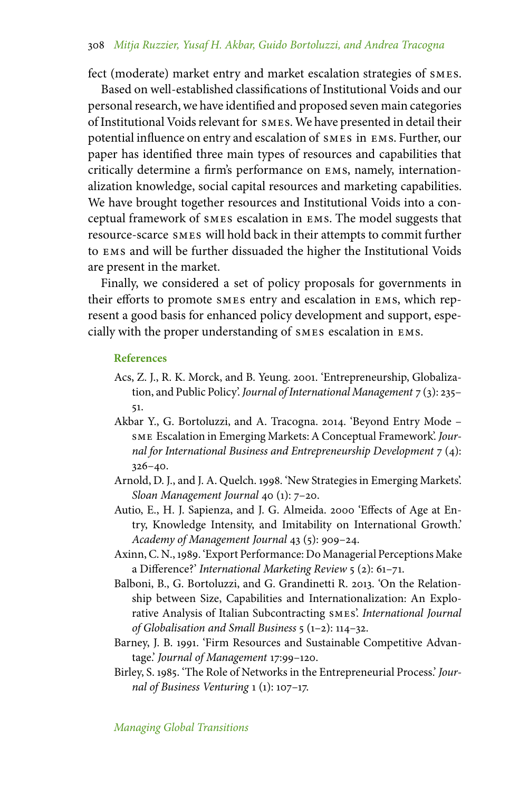fect (moderate) market entry and market escalation strategies of smes.

Based on well-established classifications of Institutional Voids and our personal research, we have identified and proposed seven main categories of Institutional Voids relevant for smes. We have presented in detail their potential influence on entry and escalation of smes in ems. Further, our paper has identified three main types of resources and capabilities that critically determine a firm's performance on ems, namely, internationalization knowledge, social capital resources and marketing capabilities. We have brought together resources and Institutional Voids into a conceptual framework of smes escalation in ems. The model suggests that resource-scarce smes will hold back in their attempts to commit further to ems and will be further dissuaded the higher the Institutional Voids are present in the market.

Finally, we considered a set of policy proposals for governments in their efforts to promote smes entry and escalation in ems, which represent a good basis for enhanced policy development and support, especially with the proper understanding of smes escalation in ems.

### **References**

- Acs, Z. J., R. K. Morck, and B. Yeung. 2001. 'Entrepreneurship, Globalization, and Public Policy'. *Journal of International Management* 7 (3): 235– 51.
- Akbar Y., G. Bortoluzzi, and A. Tracogna. 2014. 'Beyond Entry Mode sme Escalation in Emerging Markets: A Conceptual Framework'. *Journal for International Business and Entrepreneurship Development* 7 (4): 326–40.
- Arnold, D. J., and J. A. Quelch. 1998. 'New Strategies in Emerging Markets'. *Sloan Management Journal* 40 (1): 7–20.
- Autio, E., H. J. Sapienza, and J. G. Almeida. 2000 'Effects of Age at Entry, Knowledge Intensity, and Imitability on International Growth.' *Academy of Management Journal* 43 (5): 909–24.
- Axinn, C. N., 1989. 'Export Performance: Do Managerial Perceptions Make a Difference?' *International Marketing Review* 5 (2): 61–71.
- Balboni, B., G. Bortoluzzi, and G. Grandinetti R. 2013. 'On the Relationship between Size, Capabilities and Internationalization: An Explorative Analysis of Italian Subcontracting smes'. *International Journal of Globalisation and Small Business* 5 (1–2): 114–32.
- Barney, J. B. 1991. 'Firm Resources and Sustainable Competitive Advantage.' *Journal of Management* 17:99–120.
- Birley, S. 1985. 'The Role of Networks in the Entrepreneurial Process.' *Journal of Business Venturing* 1 (1): 107–17.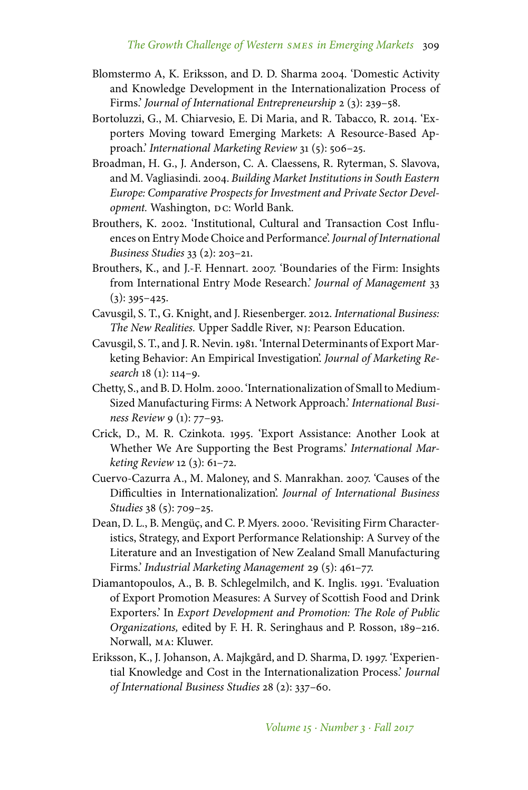- Blomstermo A, K. Eriksson, and D. D. Sharma 2004. 'Domestic Activity and Knowledge Development in the Internationalization Process of Firms.' *Journal of International Entrepreneurship* 2 (3): 239–58.
- Bortoluzzi, G., M. Chiarvesio, E. Di Maria, and R. Tabacco, R. 2014. 'Exporters Moving toward Emerging Markets: A Resource-Based Approach.' *International Marketing Review* 31 (5): 506–25.
- Broadman, H. G., J. Anderson, C. A. Claessens, R. Ryterman, S. Slavova, and M. Vagliasindi. 2004. *Building Market Institutions in South Eastern Europe: Comparative Prospects for Investment and Private Sector Development*. Washington, DC: World Bank.
- Brouthers, K. 2002. 'Institutional, Cultural and Transaction Cost Influences on Entry Mode Choice and Performance'.*Journal of International Business Studies* 33 (2): 203–21.
- Brouthers, K., and J.-F. Hennart. 2007. 'Boundaries of the Firm: Insights from International Entry Mode Research.' *Journal of Management* 33  $(3): 395 - 425.$
- Cavusgil, S. T., G. Knight, and J. Riesenberger. 2012. *International Business: The New Realities.* Upper Saddle River, nj: Pearson Education.
- Cavusgil, S. T., and J. R. Nevin. 1981. 'Internal Determinants of Export Marketing Behavior: An Empirical Investigation'. *Journal of Marketing Research* 18 (1): 114–9.
- Chetty, S., and B. D. Holm. 2000. 'Internationalization of Small to Medium-Sized Manufacturing Firms: A Network Approach.' *International Business Review* 9 (1): 77–93.
- Crick, D., M. R. Czinkota. 1995. 'Export Assistance: Another Look at Whether We Are Supporting the Best Programs.' *International Marketing Review* 12 (3): 61–72.
- Cuervo-Cazurra A., M. Maloney, and S. Manrakhan. 2007. 'Causes of the Difficulties in Internationalization'. *Journal of International Business Studies* 38 (5): 709–25.
- Dean, D. L., B. Mengüç, and C. P. Myers. 2000. 'Revisiting Firm Characteristics, Strategy, and Export Performance Relationship: A Survey of the Literature and an Investigation of New Zealand Small Manufacturing Firms.' *Industrial Marketing Management* 29 (5): 461–77.
- Diamantopoulos, A., B. B. Schlegelmilch, and K. Inglis. 1991. 'Evaluation of Export Promotion Measures: A Survey of Scottish Food and Drink Exporters.' In *Export Development and Promotion: The Role of Public Organizations,* edited by F. H. R. Seringhaus and P. Rosson, 189–216. Norwall, ma: Kluwer.
- Eriksson, K., J. Johanson, A. Majkgård, and D. Sharma, D. 1997. 'Experiential Knowledge and Cost in the Internationalization Process.' *Journal of International Business Studies* 28 (2): 337–60.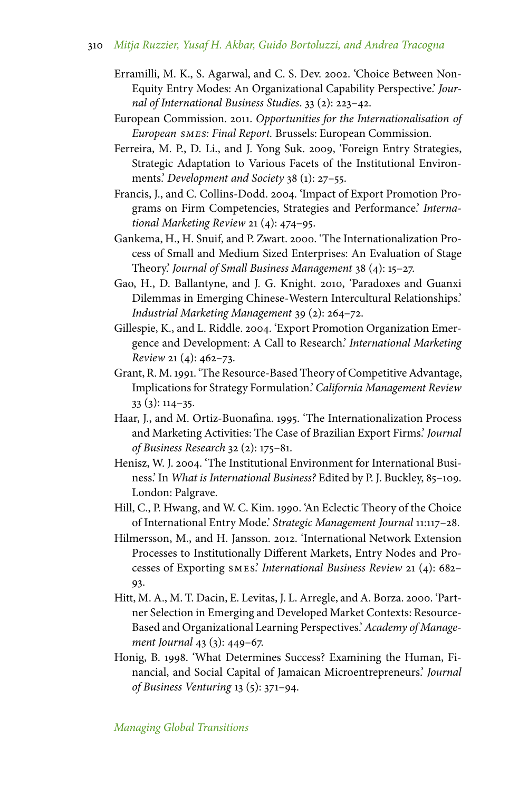- Erramilli, M. K., S. Agarwal, and C. S. Dev. 2002. 'Choice Between Non-Equity Entry Modes: An Organizational Capability Perspective.' *Journal of International Business Studies*. 33 (2): 223–42.
- European Commission. 2011. *Opportunities for the Internationalisation of European smes: Final Report.* Brussels: European Commission.
- Ferreira, M. P., D. Li., and J. Yong Suk. 2009, 'Foreign Entry Strategies, Strategic Adaptation to Various Facets of the Institutional Environments.' *Development and Society* 38 (1): 27–55.
- Francis, J., and C. Collins-Dodd. 2004. 'Impact of Export Promotion Programs on Firm Competencies, Strategies and Performance.' *International Marketing Review* 21 (4): 474–95.
- Gankema, H., H. Snuif, and P. Zwart. 2000. 'The Internationalization Process of Small and Medium Sized Enterprises: An Evaluation of Stage Theory.' *Journal of Small Business Management* 38 (4): 15–27.
- Gao, H., D. Ballantyne, and J. G. Knight. 2010, 'Paradoxes and Guanxi Dilemmas in Emerging Chinese-Western Intercultural Relationships.' *Industrial Marketing Management* 39 (2): 264–72.
- Gillespie, K., and L. Riddle. 2004. 'Export Promotion Organization Emergence and Development: A Call to Research.' *International Marketing Review* 21 (4): 462–73.
- Grant, R. M. 1991. 'The Resource-Based Theory of Competitive Advantage, Implications for Strategy Formulation.' *California Management Review* 33 (3): 114–35.
- Haar, J., and M. Ortiz-Buonafina. 1995. 'The Internationalization Process and Marketing Activities: The Case of Brazilian Export Firms.' *Journal of Business Research* 32 (2): 175–81.
- Henisz, W. J. 2004. 'The Institutional Environment for International Business.' In *What is International Business?* Edited by P. J. Buckley, 85–109. London: Palgrave.
- Hill, C., P. Hwang, and W. C. Kim. 1990. 'An Eclectic Theory of the Choice of International Entry Mode.' *Strategic Management Journal* 11:117–28.
- Hilmersson, M., and H. Jansson. 2012. 'International Network Extension Processes to Institutionally Different Markets, Entry Nodes and Processes of Exporting smes.' *International Business Review* 21 (4): 682– 93.
- Hitt, M. A., M. T. Dacin, E. Levitas, J. L. Arregle, and A. Borza. 2000. 'Partner Selection in Emerging and Developed Market Contexts: Resource-Based and Organizational Learning Perspectives.' *Academy of Management Journal* 43 (3): 449–67.
- Honig, B. 1998. 'What Determines Success? Examining the Human, Financial, and Social Capital of Jamaican Microentrepreneurs.' *Journal of Business Venturing* 13 (5): 371–94.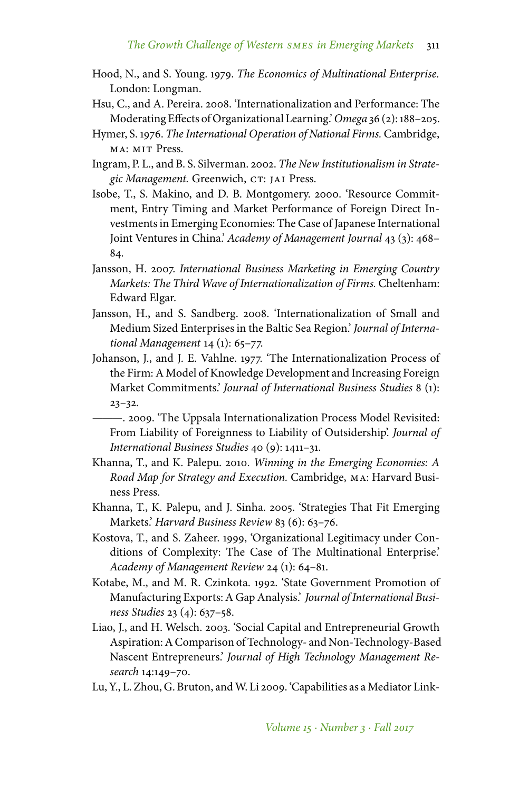- Hood, N., and S. Young. 1979. *The Economics of Multinational Enterprise.* London: Longman.
- Hsu, C., and A. Pereira. 2008. 'Internationalization and Performance: The Moderating Effects of Organizational Learning.' *Omega* 36 (2): 188–205.
- Hymer, S. 1976. *The International Operation of National Firms.* Cambridge, MA: MIT Press.
- Ingram, P. L., and B. S. Silverman. 2002. *The New Institutionalism in Strate*gic Management. Greenwich, CT: JAI Press.
- Isobe, T., S. Makino, and D. B. Montgomery. 2000. 'Resource Commitment, Entry Timing and Market Performance of Foreign Direct Investments in Emerging Economies: The Case of Japanese International Joint Ventures in China.' *Academy of Management Journal* 43 (3): 468– 84.
- Jansson, H. 2007. *International Business Marketing in Emerging Country Markets: The Third Wave of Internationalization of Firms.* Cheltenham: Edward Elgar.
- Jansson, H., and S. Sandberg. 2008. 'Internationalization of Small and Medium Sized Enterprises in the Baltic Sea Region.' *Journal of International Management* 14 (1): 65–77.
- Johanson, J., and J. E. Vahlne. 1977. 'The Internationalization Process of the Firm: A Model of Knowledge Development and Increasing Foreign Market Commitments.' *Journal of International Business Studies* 8 (1):  $23 - 32.$ 
	- ———. 2009. 'The Uppsala Internationalization Process Model Revisited: From Liability of Foreignness to Liability of Outsidership'. *Journal of International Business Studies* 40 (9): 1411–31.
- Khanna, T., and K. Palepu. 2010. *Winning in the Emerging Economies: A Road Map for Strategy and Execution.* Cambridge, ma: Harvard Business Press.
- Khanna, T., K. Palepu, and J. Sinha. 2005. 'Strategies That Fit Emerging Markets.' *Harvard Business Review* 83 (6): 63–76.
- Kostova, T., and S. Zaheer. 1999, 'Organizational Legitimacy under Conditions of Complexity: The Case of The Multinational Enterprise.' *Academy of Management Review* 24 (1): 64–81.
- Kotabe, M., and M. R. Czinkota. 1992. 'State Government Promotion of Manufacturing Exports: A Gap Analysis.' *Journal of International Business Studies* 23 (4): 637–58.
- Liao, J., and H. Welsch. 2003. 'Social Capital and Entrepreneurial Growth Aspiration: A Comparison of Technology- and Non-Technology-Based Nascent Entrepreneurs.' *Journal of High Technology Management Research* 14:149–70.
- Lu, Y., L. Zhou, G. Bruton, and W. Li 2009. 'Capabilities as a Mediator Link-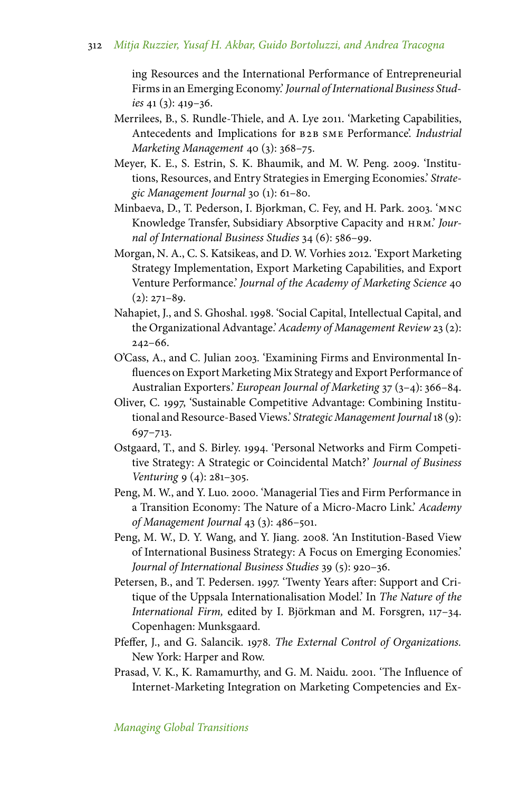ing Resources and the International Performance of Entrepreneurial Firms in an Emerging Economy.' *Journal of International Business Studies* 41 (3): 419–36.

- Merrilees, B., S. Rundle-Thiele, and A. Lye 2011. 'Marketing Capabilities, Antecedents and Implications for b2b sme Performance'. *Industrial Marketing Management* 40 (3): 368–75.
- Meyer, K. E., S. Estrin, S. K. Bhaumik, and M. W. Peng. 2009. 'Institutions, Resources, and Entry Strategies in Emerging Economies.' *Strategic Management Journal* 30 (1): 61–80.
- Minbaeva, D., T. Pederson, I. Bjorkman, C. Fey, and H. Park. 2003. 'mnc Knowledge Transfer, Subsidiary Absorptive Capacity and hrm.' *Journal of International Business Studies* 34 (6): 586–99.
- Morgan, N. A., C. S. Katsikeas, and D. W. Vorhies 2012. 'Export Marketing Strategy Implementation, Export Marketing Capabilities, and Export Venture Performance.' *Journal of the Academy of Marketing Science* 40  $(2): 271-89.$
- Nahapiet, J., and S. Ghoshal. 1998. 'Social Capital, Intellectual Capital, and the Organizational Advantage.'*Academy of Management Review* 23 (2): 242–66.
- O'Cass, A., and C. Julian 2003. 'Examining Firms and Environmental Influences on Export Marketing Mix Strategy and Export Performance of Australian Exporters.' *European Journal of Marketing* 37 (3–4): 366–84.
- Oliver, C. 1997, 'Sustainable Competitive Advantage: Combining Institutional and Resource-Based Views.' *Strategic Management Journal*18 (9): 697–713.
- Ostgaard, T., and S. Birley. 1994. 'Personal Networks and Firm Competitive Strategy: A Strategic or Coincidental Match?' *Journal of Business Venturing* 9 (4): 281–305.
- Peng, M. W., and Y. Luo. 2000. 'Managerial Ties and Firm Performance in a Transition Economy: The Nature of a Micro-Macro Link.' *Academy of Management Journal* 43 (3): 486–501.
- Peng, M. W., D. Y. Wang, and Y. Jiang. 2008. 'An Institution-Based View of International Business Strategy: A Focus on Emerging Economies.' *Journal of International Business Studies* 39 (5): 920–36.
- Petersen, B., and T. Pedersen. 1997. 'Twenty Years after: Support and Critique of the Uppsala Internationalisation Model.' In *The Nature of the International Firm,* edited by I. Björkman and M. Forsgren, 117–34. Copenhagen: Munksgaard.
- Pfeffer, J., and G. Salancik. 1978. *The External Control of Organizations.* New York: Harper and Row.
- Prasad, V. K., K. Ramamurthy, and G. M. Naidu. 2001. 'The Influence of Internet-Marketing Integration on Marketing Competencies and Ex-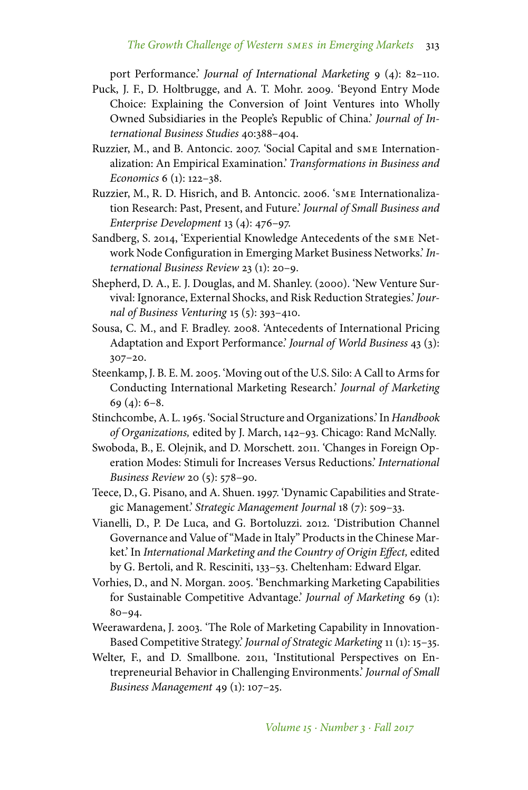port Performance.' *Journal of International Marketing* 9 (4): 82–110.

- Puck, J. F., D. Holtbrugge, and A. T. Mohr. 2009. 'Beyond Entry Mode Choice: Explaining the Conversion of Joint Ventures into Wholly Owned Subsidiaries in the People's Republic of China.' *Journal of International Business Studies* 40:388–404.
- Ruzzier, M., and B. Antoncic. 2007. 'Social Capital and sme Internationalization: An Empirical Examination.' *Transformations in Business and Economics* 6 (1): 122–38.
- Ruzzier, M., R. D. Hisrich, and B. Antoncic. 2006. 'sme Internationalization Research: Past, Present, and Future.' *Journal of Small Business and Enterprise Development* 13 (4): 476–97.
- Sandberg, S. 2014, 'Experiential Knowledge Antecedents of the sme Network Node Configuration in Emerging Market Business Networks.' *International Business Review* 23 (1): 20–9.
- Shepherd, D. A., E. J. Douglas, and M. Shanley. (2000). 'New Venture Survival: Ignorance, External Shocks, and Risk Reduction Strategies.' *Journal of Business Venturing* 15 (5): 393–410.
- Sousa, C. M., and F. Bradley. 2008. 'Antecedents of International Pricing Adaptation and Export Performance.' *Journal of World Business* 43 (3): 307–20.
- Steenkamp, J. B. E. M. 2005. 'Moving out of the U.S. Silo: A Call to Arms for Conducting International Marketing Research.' *Journal of Marketing* 69 $(4)$ : 6–8.
- Stinchcombe, A. L. 1965. 'Social Structure and Organizations.' In *Handbook of Organizations,* edited by J. March, 142–93. Chicago: Rand McNally.
- Swoboda, B., E. Olejnik, and D. Morschett. 2011. 'Changes in Foreign Operation Modes: Stimuli for Increases Versus Reductions.' *International Business Review* 20 (5): 578–90.
- Teece, D., G. Pisano, and A. Shuen. 1997. 'Dynamic Capabilities and Strategic Management.' *Strategic Management Journal* 18 (7): 509–33.
- Vianelli, D., P. De Luca, and G. Bortoluzzi. 2012. 'Distribution Channel Governance and Value of "Made in Italy" Products in the Chinese Market.' In *International Marketing and the Country of Origin Effect,* edited by G. Bertoli, and R. Resciniti, 133–53. Cheltenham: Edward Elgar.
- Vorhies, D., and N. Morgan. 2005. 'Benchmarking Marketing Capabilities for Sustainable Competitive Advantage.' *Journal of Marketing* 69 (1): 80–94.
- Weerawardena, J. 2003. 'The Role of Marketing Capability in Innovation-Based Competitive Strategy.' *Journal of Strategic Marketing* 11 (1): 15–35.
- Welter, F., and D. Smallbone. 2011, 'Institutional Perspectives on Entrepreneurial Behavior in Challenging Environments.' *Journal of Small Business Management* 49 (1): 107–25.